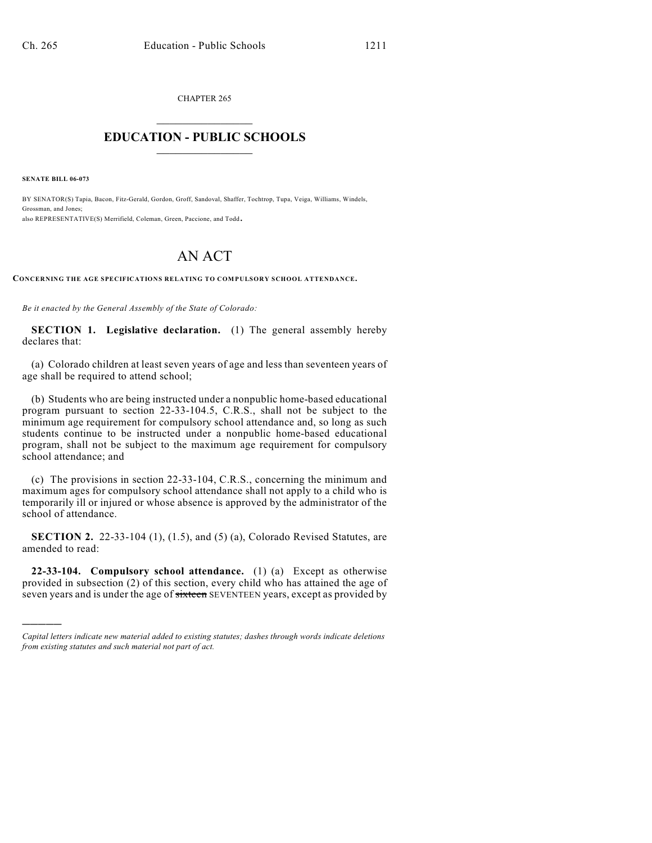CHAPTER 265  $\mathcal{L}_\text{max}$  . The set of the set of the set of the set of the set of the set of the set of the set of the set of the set of the set of the set of the set of the set of the set of the set of the set of the set of the set

## **EDUCATION - PUBLIC SCHOOLS**  $\_$   $\_$   $\_$   $\_$   $\_$   $\_$   $\_$   $\_$   $\_$

**SENATE BILL 06-073**

)))))

BY SENATOR(S) Tapia, Bacon, Fitz-Gerald, Gordon, Groff, Sandoval, Shaffer, Tochtrop, Tupa, Veiga, Williams, Windels, Grossman, and Jones; also REPRESENTATIVE(S) Merrifield, Coleman, Green, Paccione, and Todd.

## AN ACT

**CONCERNING THE AGE SPECIFICATIONS RELATING TO COMPULSORY SCHOOL ATTENDANCE.**

*Be it enacted by the General Assembly of the State of Colorado:*

**SECTION 1. Legislative declaration.** (1) The general assembly hereby declares that:

(a) Colorado children at least seven years of age and less than seventeen years of age shall be required to attend school;

(b) Students who are being instructed under a nonpublic home-based educational program pursuant to section 22-33-104.5, C.R.S., shall not be subject to the minimum age requirement for compulsory school attendance and, so long as such students continue to be instructed under a nonpublic home-based educational program, shall not be subject to the maximum age requirement for compulsory school attendance; and

(c) The provisions in section 22-33-104, C.R.S., concerning the minimum and maximum ages for compulsory school attendance shall not apply to a child who is temporarily ill or injured or whose absence is approved by the administrator of the school of attendance.

**SECTION 2.** 22-33-104 (1), (1.5), and (5) (a), Colorado Revised Statutes, are amended to read:

**22-33-104. Compulsory school attendance.** (1) (a) Except as otherwise provided in subsection (2) of this section, every child who has attained the age of seven years and is under the age of sixteen SEVENTEEN years, except as provided by

*Capital letters indicate new material added to existing statutes; dashes through words indicate deletions from existing statutes and such material not part of act.*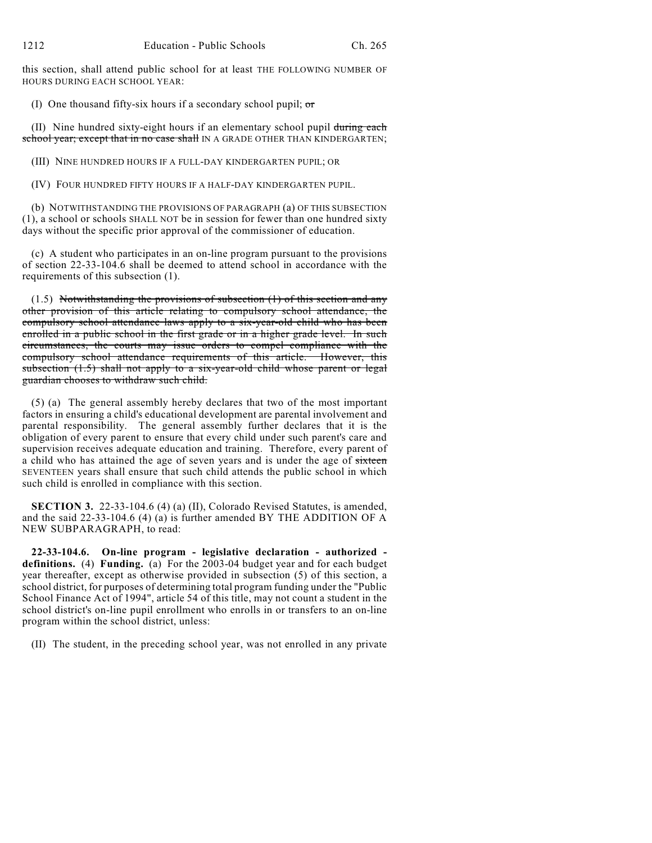this section, shall attend public school for at least THE FOLLOWING NUMBER OF HOURS DURING EACH SCHOOL YEAR:

(I) One thousand fifty-six hours if a secondary school pupil;  $\sigma$ 

(II) Nine hundred sixty-eight hours if an elementary school pupil during each school year; except that in no case shall IN A GRADE OTHER THAN KINDERGARTEN;

(III) NINE HUNDRED HOURS IF A FULL-DAY KINDERGARTEN PUPIL; OR

(IV) FOUR HUNDRED FIFTY HOURS IF A HALF-DAY KINDERGARTEN PUPIL.

(b) NOTWITHSTANDING THE PROVISIONS OF PARAGRAPH (a) OF THIS SUBSECTION (1), a school or schools SHALL NOT be in session for fewer than one hundred sixty days without the specific prior approval of the commissioner of education.

(c) A student who participates in an on-line program pursuant to the provisions of section 22-33-104.6 shall be deemed to attend school in accordance with the requirements of this subsection (1).

(1.5) Notwithstanding the provisions of subsection (1) of this section and any other provision of this article relating to compulsory school attendance, the compulsory school attendance laws apply to a six-year-old child who has been enrolled in a public school in the first grade or in a higher grade level. In such circumstances, the courts may issue orders to compel compliance with the compulsory school attendance requirements of this article. However, this subsection (1.5) shall not apply to a six-year-old child whose parent or legal guardian chooses to withdraw such child.

(5) (a) The general assembly hereby declares that two of the most important factors in ensuring a child's educational development are parental involvement and parental responsibility. The general assembly further declares that it is the obligation of every parent to ensure that every child under such parent's care and supervision receives adequate education and training. Therefore, every parent of a child who has attained the age of seven years and is under the age of sixteen SEVENTEEN years shall ensure that such child attends the public school in which such child is enrolled in compliance with this section.

**SECTION 3.** 22-33-104.6 (4) (a) (II), Colorado Revised Statutes, is amended, and the said 22-33-104.6 (4) (a) is further amended BY THE ADDITION OF A NEW SUBPARAGRAPH, to read:

**22-33-104.6. On-line program - legislative declaration - authorized definitions.** (4) **Funding.** (a) For the 2003-04 budget year and for each budget year thereafter, except as otherwise provided in subsection (5) of this section, a school district, for purposes of determining total program funding under the "Public School Finance Act of 1994", article 54 of this title, may not count a student in the school district's on-line pupil enrollment who enrolls in or transfers to an on-line program within the school district, unless:

(II) The student, in the preceding school year, was not enrolled in any private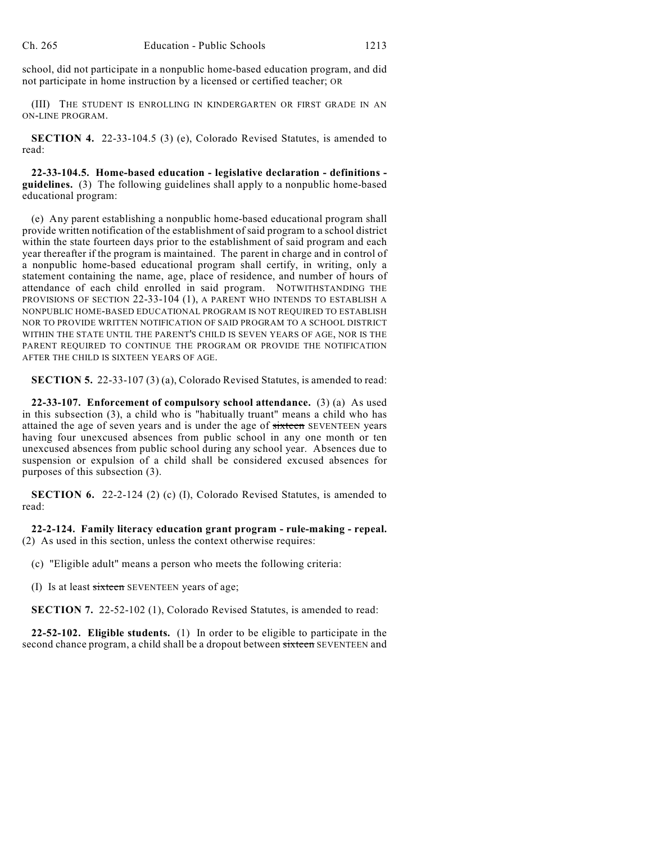school, did not participate in a nonpublic home-based education program, and did not participate in home instruction by a licensed or certified teacher; OR

(III) THE STUDENT IS ENROLLING IN KINDERGARTEN OR FIRST GRADE IN AN ON-LINE PROGRAM.

**SECTION 4.** 22-33-104.5 (3) (e), Colorado Revised Statutes, is amended to read:

**22-33-104.5. Home-based education - legislative declaration - definitions guidelines.** (3) The following guidelines shall apply to a nonpublic home-based educational program:

(e) Any parent establishing a nonpublic home-based educational program shall provide written notification of the establishment of said program to a school district within the state fourteen days prior to the establishment of said program and each year thereafter if the program is maintained. The parent in charge and in control of a nonpublic home-based educational program shall certify, in writing, only a statement containing the name, age, place of residence, and number of hours of attendance of each child enrolled in said program. NOTWITHSTANDING THE PROVISIONS OF SECTION 22-33-104 (1), A PARENT WHO INTENDS TO ESTABLISH A NONPUBLIC HOME-BASED EDUCATIONAL PROGRAM IS NOT REQUIRED TO ESTABLISH NOR TO PROVIDE WRITTEN NOTIFICATION OF SAID PROGRAM TO A SCHOOL DISTRICT WITHIN THE STATE UNTIL THE PARENT'S CHILD IS SEVEN YEARS OF AGE, NOR IS THE PARENT REQUIRED TO CONTINUE THE PROGRAM OR PROVIDE THE NOTIFICATION AFTER THE CHILD IS SIXTEEN YEARS OF AGE.

**SECTION 5.** 22-33-107 (3) (a), Colorado Revised Statutes, is amended to read:

**22-33-107. Enforcement of compulsory school attendance.** (3) (a) As used in this subsection (3), a child who is "habitually truant" means a child who has attained the age of seven years and is under the age of sixteen SEVENTEEN years having four unexcused absences from public school in any one month or ten unexcused absences from public school during any school year. Absences due to suspension or expulsion of a child shall be considered excused absences for purposes of this subsection (3).

**SECTION 6.** 22-2-124 (2) (c) (I), Colorado Revised Statutes, is amended to read:

**22-2-124. Family literacy education grant program - rule-making - repeal.** (2) As used in this section, unless the context otherwise requires:

(c) "Eligible adult" means a person who meets the following criteria:

(I) Is at least sixteen SEVENTEEN years of age;

**SECTION 7.** 22-52-102 (1), Colorado Revised Statutes, is amended to read:

**22-52-102. Eligible students.** (1) In order to be eligible to participate in the second chance program, a child shall be a dropout between sixteen SEVENTEEN and